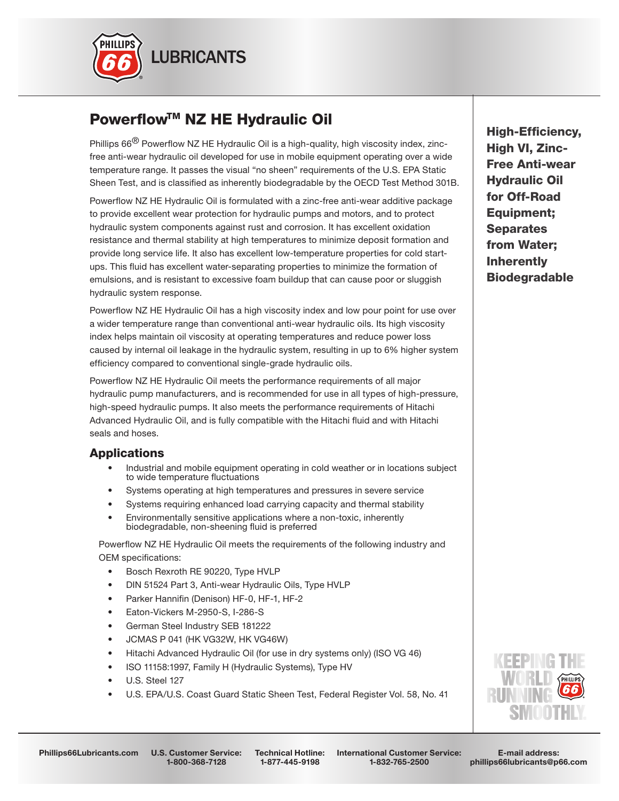

# Powerflow™ NZ HE Hydraulic Oil

Phillips  $66^{(8)}$  Powerflow NZ HE Hydraulic Oil is a high-quality, high viscosity index, zincfree anti-wear hydraulic oil developed for use in mobile equipment operating over a wide temperature range. It passes the visual "no sheen" requirements of the U.S. EPA Static Sheen Test, and is classified as inherently biodegradable by the OECD Test Method 301B.

Powerflow NZ HE Hydraulic Oil is formulated with a zinc-free anti-wear additive package to provide excellent wear protection for hydraulic pumps and motors, and to protect hydraulic system components against rust and corrosion. It has excellent oxidation resistance and thermal stability at high temperatures to minimize deposit formation and provide long service life. It also has excellent low-temperature properties for cold startups. This fluid has excellent water-separating properties to minimize the formation of emulsions, and is resistant to excessive foam buildup that can cause poor or sluggish hydraulic system response.

Powerflow NZ HE Hydraulic Oil has a high viscosity index and low pour point for use over a wider temperature range than conventional anti-wear hydraulic oils. Its high viscosity index helps maintain oil viscosity at operating temperatures and reduce power loss caused by internal oil leakage in the hydraulic system, resulting in up to 6% higher system efficiency compared to conventional single-grade hydraulic oils.

Powerflow NZ HE Hydraulic Oil meets the performance requirements of all major hydraulic pump manufacturers, and is recommended for use in all types of high-pressure, high-speed hydraulic pumps. It also meets the performance requirements of Hitachi Advanced Hydraulic Oil, and is fully compatible with the Hitachi fluid and with Hitachi seals and hoses.

### Applications

- Industrial and mobile equipment operating in cold weather or in locations subject to wide temperature fluctuations
- Systems operating at high temperatures and pressures in severe service
- Systems requiring enhanced load carrying capacity and thermal stability
- Environmentally sensitive applications where a non-toxic, inherently biodegradable, non-sheening fluid is preferred

Powerflow NZ HE Hydraulic Oil meets the requirements of the following industry and OEM specifications:

- Bosch Rexroth RE 90220, Type HVLP
- DIN 51524 Part 3, Anti-wear Hydraulic Oils, Type HVLP
- Parker Hannifin (Denison) HF-0, HF-1, HF-2
- Eaton-Vickers M-2950-S, I-286-S
- German Steel Industry SEB 181222
- JCMAS P 041 (HK VG32W, HK VG46W)
- Hitachi Advanced Hydraulic Oil (for use in dry systems only) (ISO VG 46)
- ISO 11158:1997, Family H (Hydraulic Systems), Type HV
- U.S. Steel 127
- U.S. EPA/U.S. Coast Guard Static Sheen Test, Federal Register Vol. 58, No. 41

High-Efficiency, High VI, Zinc-Free Anti-wear Hydraulic Oil for Off-Road Equipment; **Separates** from Water; Inherently Biodegradable



1-800-368-7128

Technical Hotline: 1-877-445-9198

International Customer Service: 1-832-765-2500

E-mail address: phillips66lubricants@p66.com